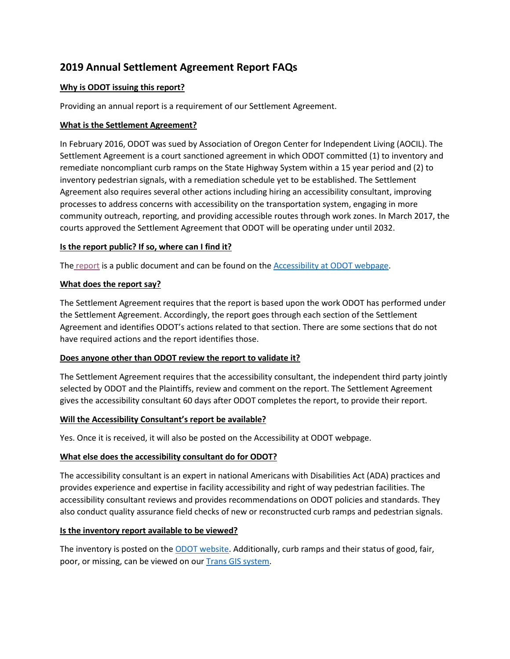# **2019 Annual Settlement Agreement Report FAQs**

## **Why is ODOT issuing this report?**

Providing an annual report is a requirement of our Settlement Agreement.

## **What is the Settlement Agreement?**

In February 2016, ODOT was sued by Association of Oregon Center for Independent Living (AOCIL). The Settlement Agreement is a court sanctioned agreement in which ODOT committed (1) to inventory and remediate noncompliant curb ramps on the State Highway System within a 15 year period and (2) to inventory pedestrian signals, with a remediation schedule yet to be established. The Settlement Agreement also requires several other actions including hiring an accessibility consultant, improving processes to address concerns with accessibility on the transportation system, engaging in more community outreach, reporting, and providing accessible routes through work zones. In March 2017, the courts approved the Settlement Agreement that ODOT will be operating under until 2032.

## **Is the report public? If so, where can I find it?**

The [report](https://www.oregon.gov/ODOT/About/Pages/ADA.aspx) is a public document and can be found on th[e Accessibility at ODOT](https://www.oregon.gov/ODOT/About/Pages/ADA.aspx) webpage.

## **What does the report say?**

The Settlement Agreement requires that the report is based upon the work ODOT has performed under the Settlement Agreement. Accordingly, the report goes through each section of the Settlement Agreement and identifies ODOT's actions related to that section. There are some sections that do not have required actions and the report identifies those.

#### **Does anyone other than ODOT review the report to validate it?**

The Settlement Agreement requires that the accessibility consultant, the independent third party jointly selected by ODOT and the Plaintiffs, review and comment on the report. The Settlement Agreement gives the accessibility consultant 60 days after ODOT completes the report, to provide their report.

#### **Will the Accessibility Consultant's report be available?**

Yes. Once it is received, it will also be posted on the Accessibility at ODOT webpage.

## **What else does the accessibility consultant do for ODOT?**

The accessibility consultant is an expert in national Americans with Disabilities Act (ADA) practices and provides experience and expertise in facility accessibility and right of way pedestrian facilities. The accessibility consultant reviews and provides recommendations on ODOT policies and standards. They also conduct quality assurance field checks of new or reconstructed curb ramps and pedestrian signals.

#### **Is the inventory report available to be viewed?**

The inventory is posted on th[e ODOT website.](https://www.oregon.gov/ODOT/About/Pages/ADA.aspx) Additionally, curb ramps and their status of good, fair, poor, or missing, can be viewed on ou[r Trans GIS system.](http://gisintra.odot.state.or.us/TransGIS/Resources/Documents/help/transgis_help.pdf)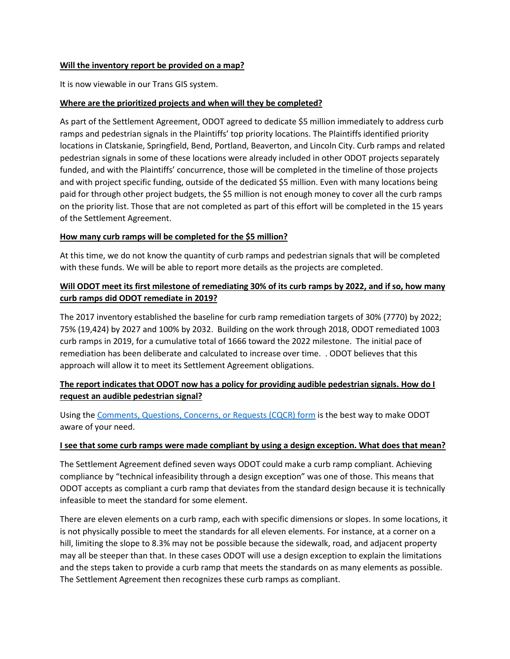#### **Will the inventory report be provided on a map?**

It is now viewable in our Trans GIS system.

#### **Where are the prioritized projects and when will they be completed?**

As part of the Settlement Agreement, ODOT agreed to dedicate \$5 million immediately to address curb ramps and pedestrian signals in the Plaintiffs' top priority locations. The Plaintiffs identified priority locations in Clatskanie, Springfield, Bend, Portland, Beaverton, and Lincoln City. Curb ramps and related pedestrian signals in some of these locations were already included in other ODOT projects separately funded, and with the Plaintiffs' concurrence, those will be completed in the timeline of those projects and with project specific funding, outside of the dedicated \$5 million. Even with many locations being paid for through other project budgets, the \$5 million is not enough money to cover all the curb ramps on the priority list. Those that are not completed as part of this effort will be completed in the 15 years of the Settlement Agreement.

#### **How many curb ramps will be completed for the \$5 million?**

At this time, we do not know the quantity of curb ramps and pedestrian signals that will be completed with these funds. We will be able to report more details as the projects are completed.

## **Will ODOT meet its first milestone of remediating 30% of its curb ramps by 2022, and if so, how many curb ramps did ODOT remediate in 2019?**

The 2017 inventory established the baseline for curb ramp remediation targets of 30% (7770) by 2022; 75% (19,424) by 2027 and 100% by 2032. Building on the work through 2018, ODOT remediated 1003 curb ramps in 2019, for a cumulative total of 1666 toward the 2022 milestone. The initial pace of remediation has been deliberate and calculated to increase over time. . ODOT believes that this approach will allow it to meet its Settlement Agreement obligations.

## **The report indicates that ODOT now has a policy for providing audible pedestrian signals. How do I request an audible pedestrian signal?**

Using the [Comments, Questions, Concerns, or Requests \(CQCR\) form](https://www.oregon.gov/odot/About/Pages/ADA-Issue-Request-Form.aspx) is the best way to make ODOT aware of your need.

#### **I see that some curb ramps were made compliant by using a design exception. What does that mean?**

The Settlement Agreement defined seven ways ODOT could make a curb ramp compliant. Achieving compliance by "technical infeasibility through a design exception" was one of those. This means that ODOT accepts as compliant a curb ramp that deviates from the standard design because it is technically infeasible to meet the standard for some element.

There are eleven elements on a curb ramp, each with specific dimensions or slopes. In some locations, it is not physically possible to meet the standards for all eleven elements. For instance, at a corner on a hill, limiting the slope to 8.3% may not be possible because the sidewalk, road, and adjacent property may all be steeper than that. In these cases ODOT will use a design exception to explain the limitations and the steps taken to provide a curb ramp that meets the standards on as many elements as possible. The Settlement Agreement then recognizes these curb ramps as compliant.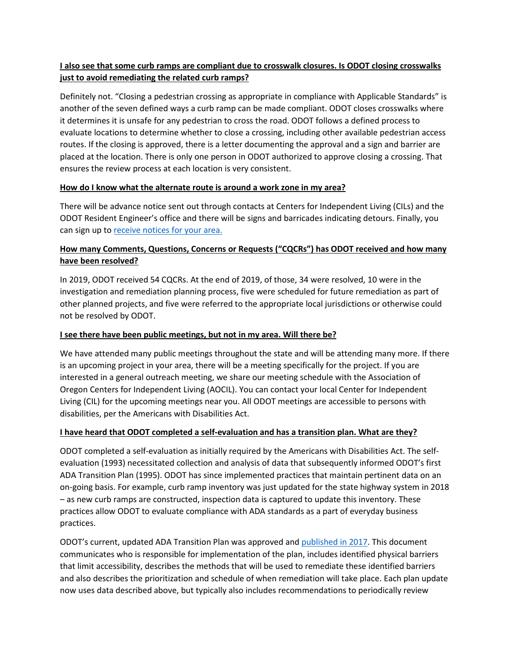# **I also see that some curb ramps are compliant due to crosswalk closures. Is ODOT closing crosswalks just to avoid remediating the related curb ramps?**

Definitely not. "Closing a pedestrian crossing as appropriate in compliance with Applicable Standards" is another of the seven defined ways a curb ramp can be made compliant. ODOT closes crosswalks where it determines it is unsafe for any pedestrian to cross the road. ODOT follows a defined process to evaluate locations to determine whether to close a crossing, including other available pedestrian access routes. If the closing is approved, there is a letter documenting the approval and a sign and barrier are placed at the location. There is only one person in ODOT authorized to approve closing a crossing. That ensures the review process at each location is very consistent.

## **How do I know what the alternate route is around a work zone in my area?**

There will be advance notice sent out through contacts at Centers for Independent Living (CILs) and the ODOT Resident Engineer's office and there will be signs and barricades indicating detours. Finally, you can sign up t[o receive notices for your area.](https://public.govdelivery.com/accounts/ORDOT/subscriber/new?preferences=true)

## **How many Comments, Questions, Concerns or Requests ("CQCRs") has ODOT received and how many have been resolved?**

In 2019, ODOT received 54 CQCRs. At the end of 2019, of those, 34 were resolved, 10 were in the investigation and remediation planning process, five were scheduled for future remediation as part of other planned projects, and five were referred to the appropriate local jurisdictions or otherwise could not be resolved by ODOT.

#### **I see there have been public meetings, but not in my area. Will there be?**

We have attended many public meetings throughout the state and will be attending many more. If there is an upcoming project in your area, there will be a meeting specifically for the project. If you are interested in a general outreach meeting, we share our meeting schedule with the Association of Oregon Centers for Independent Living (AOCIL). You can contact your local Center for Independent Living (CIL) for the upcoming meetings near you. All ODOT meetings are accessible to persons with disabilities, per the Americans with Disabilities Act.

#### **I have heard that ODOT completed a self-evaluation and has a transition plan. What are they?**

ODOT completed a self-evaluation as initially required by the Americans with Disabilities Act. The selfevaluation (1993) necessitated collection and analysis of data that subsequently informed ODOT's first ADA Transition Plan (1995). ODOT has since implemented practices that maintain pertinent data on an on-going basis. For example, curb ramp inventory was just updated for the state highway system in 2018 – as new curb ramps are constructed, inspection data is captured to update this inventory. These practices allow ODOT to evaluate compliance with ADA standards as a part of everyday business practices.

ODOT's current, updated ADA Transition Plan was approved and [published in 2017.](https://www.oregon.gov/ODOT/About/Pages/ADA.aspx) This document communicates who is responsible for implementation of the plan, includes identified physical barriers that limit accessibility, describes the methods that will be used to remediate these identified barriers and also describes the prioritization and schedule of when remediation will take place. Each plan update now uses data described above, but typically also includes recommendations to periodically review